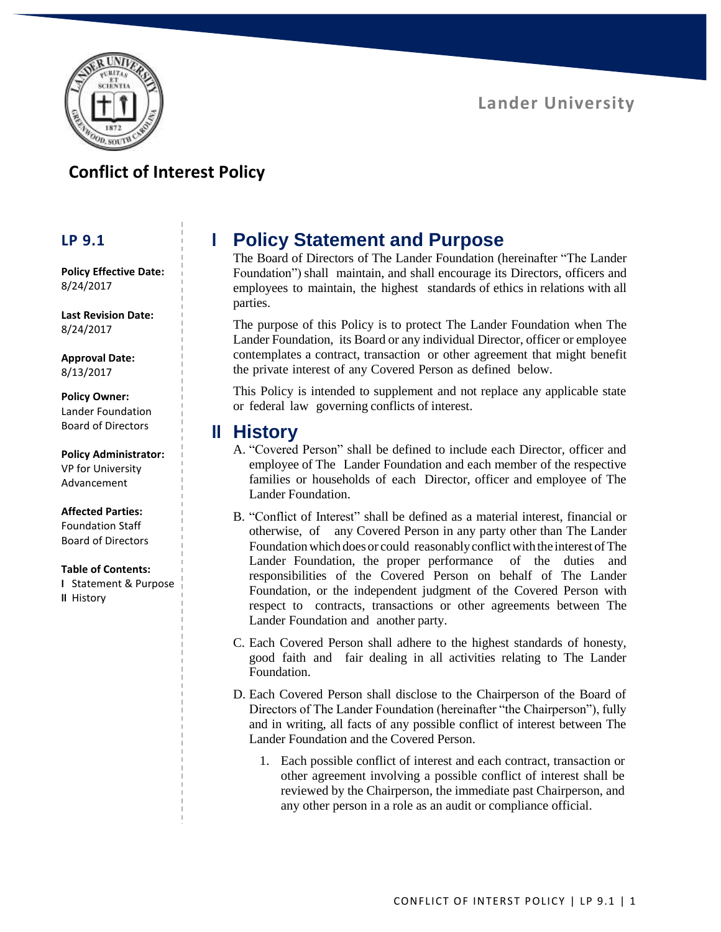

## **Conflict of Interest Policy**

### **LP 9.1**

**Policy Effective Date:** 8/24/2017

**Last Revision Date:** 8/24/2017

**Approval Date:** 8/13/2017

**Policy Owner:** Lander Foundation Board of Directors

**Policy Administrator:** VP for University

Advancement

#### **Affected Parties:**

Foundation Staff Board of Directors

#### **Table of Contents:**

**I** Statement & Purpose **II** History

# **I Policy Statement and Purpose**

The Board of Directors of The Lander Foundation (hereinafter "The Lander Foundation") shall maintain, and shall encourage its Directors, officers and employees to maintain, the highest standards of ethics in relations with all parties.

The purpose of this Policy is to protect The Lander Foundation when The Lander Foundation, its Board or any individual Director, officer or employee contemplates a contract, transaction or other agreement that might benefit the private interest of any Covered Person as defined below.

This Policy is intended to supplement and not replace any applicable state or federal law governing conflicts of interest.

## **II History**

- A. "Covered Person" shall be defined to include each Director, officer and employee of The Lander Foundation and each member of the respective families or households of each Director, officer and employee of The Lander Foundation.
- B. "Conflict of Interest" shall be defined as a material interest, financial or otherwise, of any Covered Person in any party other than The Lander Foundation which does or could reasonably conflict with the interest of The Lander Foundation, the proper performance of the duties and responsibilities of the Covered Person on behalf of The Lander Foundation, or the independent judgment of the Covered Person with respect to contracts, transactions or other agreements between The Lander Foundation and another party.
- C. Each Covered Person shall adhere to the highest standards of honesty, good faith and fair dealing in all activities relating to The Lander Foundation.
- D. Each Covered Person shall disclose to the Chairperson of the Board of Directors of The Lander Foundation (hereinafter "the Chairperson"), fully and in writing, all facts of any possible conflict of interest between The Lander Foundation and the Covered Person.
	- 1. Each possible conflict of interest and each contract, transaction or other agreement involving a possible conflict of interest shall be reviewed by the Chairperson, the immediate past Chairperson, and any other person in a role as an audit or compliance official.